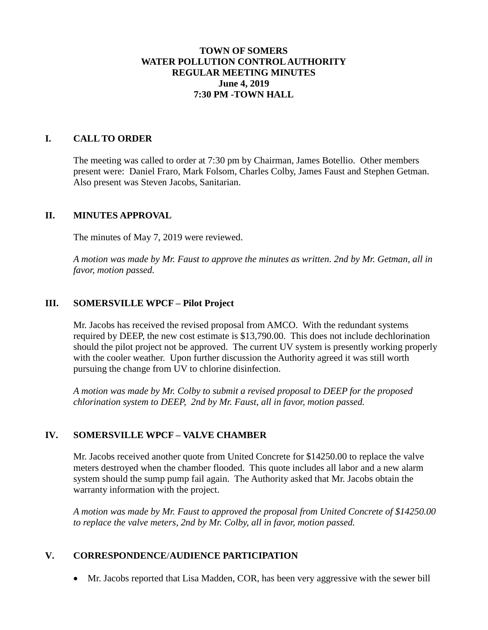## **TOWN OF SOMERS WATER POLLUTION CONTROL AUTHORITY REGULAR MEETING MINUTES June 4, 2019 7:30 PM -TOWN HALL**

## **I. CALL TO ORDER**

The meeting was called to order at 7:30 pm by Chairman, James Botellio. Other members present were: Daniel Fraro, Mark Folsom, Charles Colby, James Faust and Stephen Getman. Also present was Steven Jacobs, Sanitarian.

#### **II. MINUTES APPROVAL**

The minutes of May 7, 2019 were reviewed.

*A motion was made by Mr. Faust to approve the minutes as written. 2nd by Mr. Getman, all in favor, motion passed.*

## **III. SOMERSVILLE WPCF – Pilot Project**

Mr. Jacobs has received the revised proposal from AMCO. With the redundant systems required by DEEP, the new cost estimate is \$13,790.00. This does not include dechlorination should the pilot project not be approved. The current UV system is presently working properly with the cooler weather. Upon further discussion the Authority agreed it was still worth pursuing the change from UV to chlorine disinfection.

*A motion was made by Mr. Colby to submit a revised proposal to DEEP for the proposed chlorination system to DEEP, 2nd by Mr. Faust, all in favor, motion passed.*

# **IV. SOMERSVILLE WPCF – VALVE CHAMBER**

Mr. Jacobs received another quote from United Concrete for \$14250.00 to replace the valve meters destroyed when the chamber flooded. This quote includes all labor and a new alarm system should the sump pump fail again. The Authority asked that Mr. Jacobs obtain the warranty information with the project.

*A motion was made by Mr. Faust to approved the proposal from United Concrete of \$14250.00 to replace the valve meters, 2nd by Mr. Colby, all in favor, motion passed.*

# **V. CORRESPONDENCE**/**AUDIENCE PARTICIPATION**

Mr. Jacobs reported that Lisa Madden, COR, has been very aggressive with the sewer bill